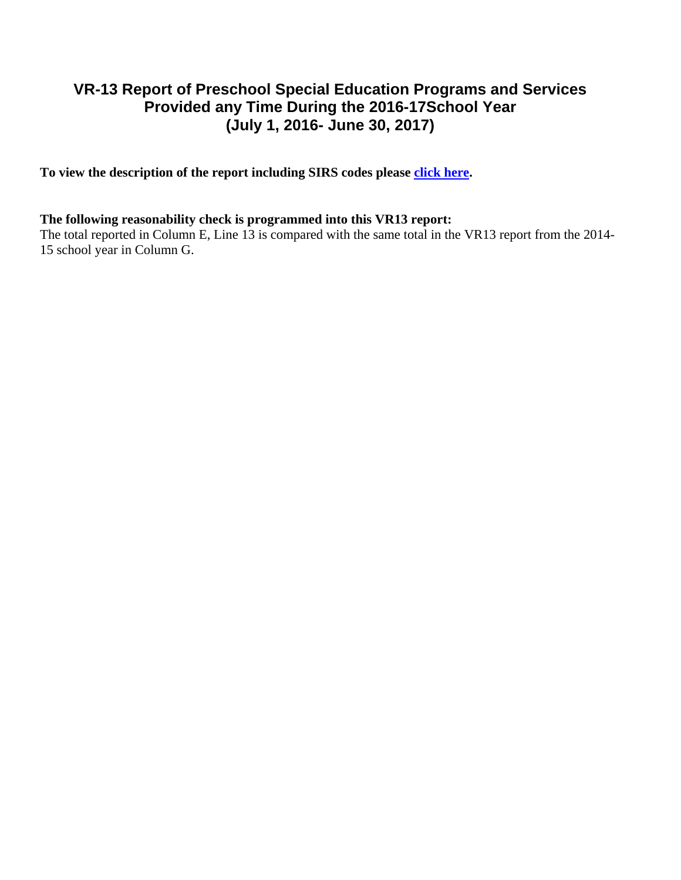## **VR-13 Report of Preschool Special Education Programs and Services Provided any Time During the 2016-17School Year (July 1, 2016- June 30, 2017)**

To view the description of the report including SIRS codes please click here.

## **The following reasonability check is programmed into this VR13 report:**

The total reported in Column E, Line 13 is compared with the same total in the VR13 report from the 2014-15 school year in Column G.